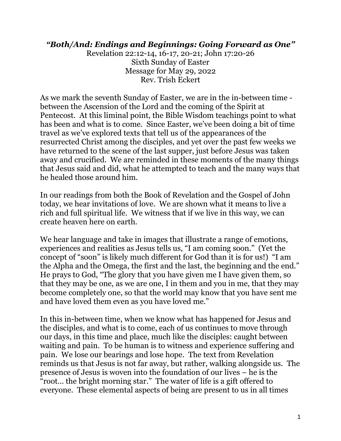## *"Both/And: Endings and Beginnings: Going Forward as One"*

Revelation 22:12-14, 16-17, 20-21; John 17:20-26 Sixth Sunday of Easter Message for May 29, 2022 Rev. Trish Eckert

As we mark the seventh Sunday of Easter, we are in the in-between time between the Ascension of the Lord and the coming of the Spirit at Pentecost. At this liminal point, the Bible Wisdom teachings point to what has been and what is to come. Since Easter, we've been doing a bit of time travel as we've explored texts that tell us of the appearances of the resurrected Christ among the disciples, and yet over the past few weeks we have returned to the scene of the last supper, just before Jesus was taken away and crucified. We are reminded in these moments of the many things that Jesus said and did, what he attempted to teach and the many ways that he healed those around him.

In our readings from both the Book of Revelation and the Gospel of John today, we hear invitations of love. We are shown what it means to live a rich and full spiritual life. We witness that if we live in this way, we can create heaven here on earth.

We hear language and take in images that illustrate a range of emotions, experiences and realities as Jesus tells us, "I am coming soon." (Yet the concept of "soon" is likely much different for God than it is for us!) "I am the Alpha and the Omega, the first and the last, the beginning and the end." He prays to God, "The glory that you have given me I have given them, so that they may be one, as we are one, I in them and you in me, that they may become completely one, so that the world may know that you have sent me and have loved them even as you have loved me."

In this in-between time, when we know what has happened for Jesus and the disciples, and what is to come, each of us continues to move through our days, in this time and place, much like the disciples: caught between waiting and pain. To be human is to witness and experience suffering and pain. We lose our bearings and lose hope. The text from Revelation reminds us that Jesus is not far away, but rather, walking alongside us. The presence of Jesus is woven into the foundation of our lives – he is the "root... the bright morning star." The water of life is a gift offered to everyone. These elemental aspects of being are present to us in all times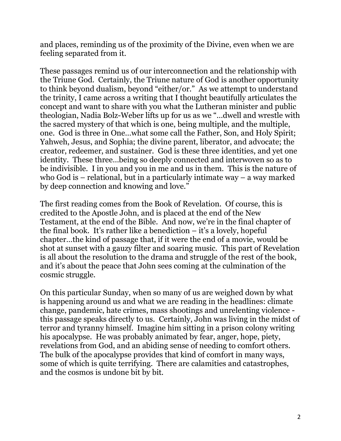and places, reminding us of the proximity of the Divine, even when we are feeling separated from it.

These passages remind us of our interconnection and the relationship with the Triune God. Certainly, the Triune nature of God is another opportunity to think beyond dualism, beyond "either/or." As we attempt to understand the trinity, I came across a writing that I thought beautifully articulates the concept and want to share with you what the Lutheran minister and public theologian, Nadia Bolz-Weber lifts up for us as we "…dwell and wrestle with the sacred mystery of that which is one, being multiple, and the multiple, one. God is three in One…what some call the Father, Son, and Holy Spirit; Yahweh, Jesus, and Sophia; the divine parent, liberator, and advocate; the creator, redeemer, and sustainer. God is these three identities, and yet one identity. These three…being so deeply connected and interwoven so as to be indivisible. I in you and you in me and us in them. This is the nature of who God is – relational, but in a particularly intimate way – a way marked by deep connection and knowing and love."

The first reading comes from the Book of Revelation. Of course, this is credited to the Apostle John, and is placed at the end of the New Testament, at the end of the Bible. And now, we're in the final chapter of the final book. It's rather like a benediction – it's a lovely, hopeful chapter…the kind of passage that, if it were the end of a movie, would be shot at sunset with a gauzy filter and soaring music. This part of Revelation is all about the resolution to the drama and struggle of the rest of the book, and it's about the peace that John sees coming at the culmination of the cosmic struggle.

On this particular Sunday, when so many of us are weighed down by what is happening around us and what we are reading in the headlines: climate change, pandemic, hate crimes, mass shootings and unrelenting violence this passage speaks directly to us. Certainly, John was living in the midst of terror and tyranny himself. Imagine him sitting in a prison colony writing his apocalypse. He was probably animated by fear, anger, hope, piety, revelations from God, and an abiding sense of needing to comfort others. The bulk of the apocalypse provides that kind of comfort in many ways, some of which is quite terrifying. There are calamities and catastrophes, and the cosmos is undone bit by bit.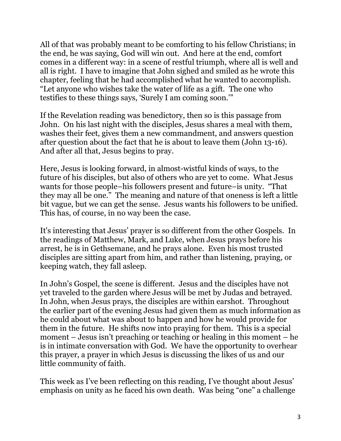All of that was probably meant to be comforting to his fellow Christians; in the end, he was saying, God will win out. And here at the end, comfort comes in a different way: in a scene of restful triumph, where all is well and all is right. I have to imagine that John sighed and smiled as he wrote this chapter, feeling that he had accomplished what he wanted to accomplish. "Let anyone who wishes take the water of life as a gift. The one who testifies to these things says, 'Surely I am coming soon.'"

If the Revelation reading was benedictory, then so is this passage from John. On his last night with the disciples, Jesus shares a meal with them, washes their feet, gives them a new commandment, and answers question after question about the fact that he is about to leave them (John 13-16). And after all that, Jesus begins to pray.

Here, Jesus is looking forward, in almost-wistful kinds of ways, to the future of his disciples, but also of others who are yet to come. What Jesus wants for those people–his followers present and future–is unity. "That they may all be one." The meaning and nature of that oneness is left a little bit vague, but we can get the sense. Jesus wants his followers to be unified. This has, of course, in no way been the case.

It's interesting that Jesus' prayer is so different from the other Gospels. In the readings of Matthew, Mark, and Luke, when Jesus prays before his arrest, he is in Gethsemane, and he prays alone. Even his most trusted disciples are sitting apart from him, and rather than listening, praying, or keeping watch, they fall asleep.

In John's Gospel, the scene is different. Jesus and the disciples have not yet traveled to the garden where Jesus will be met by Judas and betrayed. In John, when Jesus prays, the disciples are within earshot. Throughout the earlier part of the evening Jesus had given them as much information as he could about what was about to happen and how he would provide for them in the future. He shifts now into praying for them. This is a special moment – Jesus isn't preaching or teaching or healing in this moment – he is in intimate conversation with God. We have the opportunity to overhear this prayer, a prayer in which Jesus is discussing the likes of us and our little community of faith.

This week as I've been reflecting on this reading, I've thought about Jesus' emphasis on unity as he faced his own death. Was being "one" a challenge